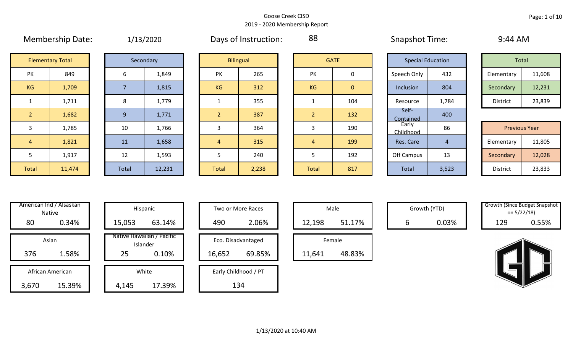|                | <b>IVICITING SHIP DULL.</b> |       | 1/13/2020 |                | <b>DUYS OF HISLINGLIOTI.</b> | $\tilde{\phantom{a}}$ |              | JUUPJUUL TUUL.     |                          | $J.$ $T T$ $N$ $N$ |                      |
|----------------|-----------------------------|-------|-----------|----------------|------------------------------|-----------------------|--------------|--------------------|--------------------------|--------------------|----------------------|
|                | <b>Elementary Total</b>     |       | Secondary |                | <b>Bilingual</b>             |                       | <b>GATE</b>  |                    | <b>Special Education</b> | Total              |                      |
| PK             | 849                         | 6     | 1,849     | PK             | 265                          | PK                    | 0            | Speech Only        | 432                      | Elementary         | 11,608               |
| KG             | 1,709                       |       | 1,815     | <b>KG</b>      | 312                          | <b>KG</b>             | $\mathbf{0}$ | Inclusion          | 804                      | Secondary          | 12,231               |
|                | 1,711                       | 8     | 1,779     |                | 355                          |                       | 104          | Resource           | 1,784                    | District           | 23,839               |
| $\overline{2}$ | 1,682                       | 9     | 1,771     |                | 387                          | $\overline{2}$        | 132          | Self-<br>Contained | 400                      |                    |                      |
| 3              | 1,785                       | 10    | 1,766     | 3              | 364                          | 3                     | 190          | Early<br>Childhood | 86                       |                    | <b>Previous Year</b> |
| $\overline{4}$ | 1,821                       | 11    | 1,658     | $\overline{4}$ | 315                          | $\overline{4}$        | 199          | Res. Care          | 4                        | Elementary         | 11,805               |
| 5              | 1,917                       | 12    | 1,593     | 5              | 240                          | 5                     | 192          | Off Campus         | 13                       | Secondary          | 12,028               |
| Total          | 11,474                      | Total | 12,231    | Total          | 2,238                        | Total                 | 817          | Total              | 3,523                    | District           | 23,833               |

|  | 1/13/2020 |
|--|-----------|
|  |           |

Membership Date: 1/13/2020 Days of Instruction: 88 Snapshot Time: 9:44 AM

88

|             | <b>Special Education</b> |            |                 | Total  |
|-------------|--------------------------|------------|-----------------|--------|
| Speech Only | 432                      | Elementary | 11,608          |        |
| Inclusion   | 804                      |            | Secondary       | 12,231 |
| Resource    | 1,784                    |            | <b>District</b> | 23,839 |

|      |        |           |        |       |       |              |     | __________         |       |                      |        |
|------|--------|-----------|--------|-------|-------|--------------|-----|--------------------|-------|----------------------|--------|
|      | 1,785  | 10        | 1,766  |       | 364   |              | 190 | Early<br>Childhood | 86    | <b>Previous Year</b> |        |
|      | 1,821  | <b>11</b> | 1,658  |       | 315   |              | 199 | Res. Care          |       | Elementary           | 11,805 |
|      | 1,917  | 12        | 1,593  |       | 240   |              | 192 | Off Campus         | 13    | Secondary            | 12,028 |
| otal | 11,474 | Total     | 12,231 | Total | 2,238 | <b>Total</b> | 817 | Total              | 3,523 | District             | 23,833 |

|     | American Ind / Alsaskan<br>Native | Hispani                    |
|-----|-----------------------------------|----------------------------|
| 80  | 0.34%                             | 15,053                     |
|     | Asian                             | Native Hawaiiai<br>Islande |
| 376 | 1.58%                             | 25                         |
|     | African American                  | White                      |
| b/0 | 15.39%                            | 4.145                      |

| American Ind / Alsaskan<br>Native |        | Hispanic                              |        | Two or More Races    |        | Male   |   | Growth (YTD) | <b>Growth (Since Budget Snaps)</b><br>on 5/22/18) |       |
|-----------------------------------|--------|---------------------------------------|--------|----------------------|--------|--------|---|--------------|---------------------------------------------------|-------|
| 80<br>0.34%                       | 15,053 | 63.14%                                | 490    | 2.06%                | 12,198 | 51.17% | b | 0.03%        | 129                                               | 0.55% |
| Asian                             |        | Native Hawaiian / Pacific<br>Islander |        | Eco. Disadvantaged   |        | Female |   |              |                                                   |       |
| 1.58%<br>376                      | 25     | 0.10%                                 | 16,652 | 69.85%               | 11,641 | 48.83% |   |              |                                                   |       |
| African American                  |        | White                                 |        | Early Childhood / PT |        |        |   |              |                                                   |       |
| 15.39%<br>3,670                   | 4,145  | 17.39%                                |        | 134                  |        |        |   |              |                                                   |       |

| Hispanic                       |        | <b>Two or More Races</b> |        | Male   |
|--------------------------------|--------|--------------------------|--------|--------|
| 63.14%                         | 490    | 2.06%                    | 12,198 |        |
| lawaiian / Pacific<br>Islander |        | Eco. Disadvantaged       |        | Female |
| 0.10%                          | 16,652 | 69.85%                   | 11,641 | ı      |
| White                          |        | Early Childhood / PT     |        |        |
| 17.39%                         |        | 134                      |        |        |

|        | Male   |  |  |  |  |  |  |  |  |
|--------|--------|--|--|--|--|--|--|--|--|
| 12,198 | 51.17% |  |  |  |  |  |  |  |  |
| Female |        |  |  |  |  |  |  |  |  |
| .641   | 3.83%  |  |  |  |  |  |  |  |  |

Growth (YTD) Growth (Since Budget Snapshot on 5/22/18)



1/13/2020 at 10:40 AM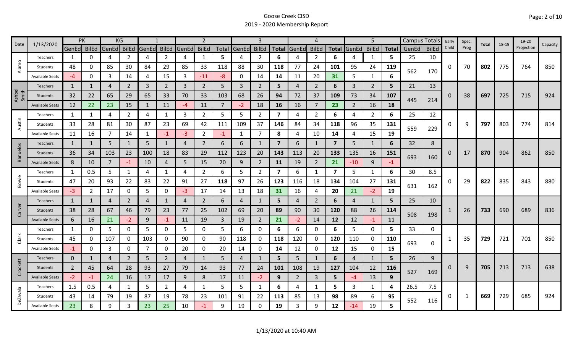|                 | 1/13/2020              | <b>PK</b>      |          | KG             |                |                |                |                | $\overline{2}$ |      |                | 3              |                |                | 4              |                |                | 5              |              |       | Campus Totals | Early    | Spec. | Total | 18-19 | 19-20      |          |
|-----------------|------------------------|----------------|----------|----------------|----------------|----------------|----------------|----------------|----------------|------|----------------|----------------|----------------|----------------|----------------|----------------|----------------|----------------|--------------|-------|---------------|----------|-------|-------|-------|------------|----------|
| Date            |                        | GenEd BilEd    |          | GenEd          | <b>BilEd</b>   | GenEd          | <b>BilEd</b>   | GenEd          | <b>BilEd</b>   |      | Total GenEd    | <b>BilEd</b>   |                | Total GenEd    | <b>BilEd</b>   | <b>Total</b>   | GenEd          | <b>BilEd</b>   | <b>Total</b> | GenEd | <b>BilEd</b>  | Child    | Prog  |       |       | Projection | Capacity |
|                 | Teachers               | 1              | 0        | 4              | 2              | 4              | $\overline{2}$ | 4              | $\mathbf{1}$   | 5    | 4              | 2              | 6              |                | $\overline{2}$ | 6              |                | 1              | 5.           | 25    | 10            |          |       |       |       |            |          |
| Alamo           | Students               | 48             | 0        | 85             | 30             | 84             | 29             | 85             | 33             | 118  | 88             | 30             | 118            | 77             | 24             | 101            | 95             | 24             | 119          | 562   | 170           | 0        | 70    | 802   | 775   | 764        | 850      |
|                 | <b>Available Seats</b> | $-4$           | 0        | 3              | 14             | 4              | 15             | 3              | $-11$          | -8   | $\Omega$       | 14             | 14             | 11             | 20             | 31             | 5              | $\mathbf{1}$   | 6            |       |               |          |       |       |       |            |          |
|                 | <b>Teachers</b>        | 1              |          | 4              | $\overline{2}$ | $\overline{3}$ | $\overline{2}$ | 3              | $\overline{2}$ | 5    | 3              | $\overline{2}$ | 5              | 4              | $\overline{2}$ | 6              | $\overline{3}$ | $\overline{2}$ | 5            | 21    | 13            |          |       |       |       |            |          |
| Ashbel<br>Smith | Students               | 32             | 22       | 65             | 29             | 65             | 33             | 70             | 33             | 103  | 68             | 26             | 94             | 72             | 37             | 109            | 73             | 34             | 107          |       |               | $\Omega$ | 38    | 697   | 725   | 715        | 924      |
|                 | <b>Available Seats</b> | 12             | 22       | 23             | 15             | 1              | 11             | $-4$           | 11             | 7    | $-2$           | 18             | 16             | 16             | 7              | 23             | 2              | 16             | 18           | 445   | 214           |          |       |       |       |            |          |
|                 | Teachers               | 1              | 1        | 4              | 2              | 4              | 1              | 3              | $\overline{2}$ | 5    | 5              | $\overline{2}$ | 7              | 4              | $\overline{2}$ | 6              | 4              | $\overline{2}$ | 6            | 25    | 12            |          |       |       |       |            |          |
| Austin          | Students               | 33             | 28       | 81             | 30             | 87             | 23             | 69             | 42             | 111  | 109            | 37             | 146            | 84             | 34             | 118            | 96             | 35             | 131          | 559   |               | 0        | 9     | 797   | 803   | 774        | 814      |
|                 | <b>Available Seats</b> | 11             | 16       | $\overline{7}$ | 14             | -1             | $-1$           | $-3$           | $\overline{2}$ | $-1$ | $\mathbf{1}$   | $\overline{7}$ | 8              | 4              | 10             | 14             | 4              | 15             | 19           |       | 229           |          |       |       |       |            |          |
|                 | <b>Teachers</b>        | 1              | 1        | 5              | 1              | 5              | $\mathbf{1}$   | $\overline{4}$ | $\overline{2}$ | 6    | 6              |                | $\overline{7}$ | 6              | 1              | $\overline{7}$ | 5              | 1              | 6            | 32    | 8             |          |       |       |       |            |          |
| Banuelos        | Students               | 36             | 34       | 103            | 23             | 100            | 18             | 83             | 29             | 112  | 123            | 20             | 143            | 113            | 20             | 133            | 135            | 16             | 151          |       |               | $\Omega$ | 17    | 870   | 904   | 862        | 850      |
|                 | <b>Available Seats</b> | 8              | 10       | $\overline{7}$ | $-1$           | 10             | 4              | 5              | 15             | 20   | 9              | $\overline{2}$ | 11             | 19             | $\overline{2}$ | 21             | $-10$          | 9              | $-1$         | 693   | 160           |          |       |       |       |            |          |
|                 | Teachers               | $\mathbf{1}$   | 0.5      | 5              | $\mathbf{1}$   | 4              | $\mathbf{1}$   | 4              | $\overline{2}$ | 6    | 5              | $\overline{2}$ | 7              | 6              | $\mathbf 1$    | 7              | 5              | $\mathbf{1}$   | 6            | 30    | 8.5           |          |       |       |       |            |          |
| Bowie           | Students               | 47             | 20       | 93             | 22             | 83             | 22             | 91             | 27             | 118  | 97             | 26             | 123            | 116            | 18             | 134            | 104            | 27             | 131          |       |               | 0        | 29    | 822   | 835   | 843        | 880      |
|                 | <b>Available Seats</b> | -3             | 2        | 17             | 0              | 5              | 0              | -3             | 17             | 14   | 13             | 18             | 31             | 16             | 4              | 20             | 21             | $-2$           | 19           | 631   | 162           |          |       |       |       |            |          |
|                 | Teachers               | $\mathbf{1}$   | 1        | 4              | $\overline{2}$ | $\overline{4}$ | $\mathbf{1}$   | 4              | 2              | 6    | 4              |                | 5              | 4              | 2              | 6              | 4              | 1              | 5            | 25    | 10            |          |       |       |       |            |          |
| Carver          | Students               | 38             | 28       | 67             | 46             | 79             | 23             | 77             | 25             | 102  | 69             | 20             | 89             | 90             | 30             | 120            | 88             | 26             | 114          |       |               |          | 26    | 733   | 690   | 689        | 836      |
|                 | <b>Available Seats</b> | 6              | 16       | 21             | $-2$           | 9              | $-1$           | 11             | 19             | 3    | 19             | $\overline{2}$ | 21             | $-2$           | 14             | 12             | 12             | $-1$           | 11           | 508   | 198           |          |       |       |       |            |          |
|                 | Teachers               | 1              | 0        | 5              | 0              | 5              | 0              | 5              | 0              | 5.   | 6              | 0              | 6              | 6              | 0              | 6              | 5              | $\mathbf 0$    | 5.           | 33    | 0             |          |       |       |       |            |          |
| Clark           | Students               | 45             | 0        | 107            | 0              | 103            | 0              | 90             | 0              | 90   | 118            | 0              | 118            | 120            | 0              | 120            | 110            | 0              | 110          | 693   |               |          | 35    | 729   | 721   | 701        | 850      |
|                 | <b>Available Seats</b> | $-1$           | $\Omega$ | 3              | 0              | 7              | 0              | 20             | $\mathbf 0$    | 20   | 14             | 0              | 14             | 12             | 0              | 12             | 15             | $\mathbf 0$    | 15           |       | 0             |          |       |       |       |            |          |
|                 | Teachers               | $\mathbf 0$    | 1        | 4              | $\overline{2}$ | 5              | $\overline{2}$ | 4              | 1              | 5    | $\overline{4}$ |                | 5              | 5              | $\mathbf{1}$   | 6              | 4              | 1              | 5            | 26    | 9             |          |       |       |       |            |          |
| Crockett        | Students               | $\overline{2}$ | 45       | 64             | 28             | 93             | 27             | 79             | 14             | 93   | 77             | 24             | 101            | 108            | 19             | 127            | 104            | 12             | <b>116</b>   | 527   |               | 0        | 9     | 705   | 713   | 713        | 638      |
|                 | <b>Available Seats</b> | $-2$           | -1       | 24             | 16             | 17             | 17             | 9              | 8              | 17   | 11             | $-2$           | 9              | $\overline{2}$ | 3              | 5              | -4             | 13             | 9            |       | 169           |          |       |       |       |            |          |
|                 | Teachers               | 1.5            | 0.5      | 4              | 1              | 5              | $\overline{2}$ | 4              | 1              | 5    | 5              | 1              | 6              | 4              | -1             | 5.             | 3              | 1              | 4            | 26.5  | 7.5           |          |       |       |       |            |          |
| <b>DeZavala</b> | Students               | 43             | 14       | 79             | 19             | 87             | 19             | 78             | 23             | 101  | 91             | 22             | 113            | 85             | 13             | 98             | 89             | 6              | 95           | 552   |               | 0        | 1     | 669   | 729   | 685        | 924      |
|                 | <b>Available Seats</b> | 23             | 8        | 9              |                | 23             | 25             | 10             | $-1$           | q    | 19             | $\Omega$       | 19             | 3              | 9              | 12             | $-14$          | 19             | 5            |       | 116           |          |       |       |       |            |          |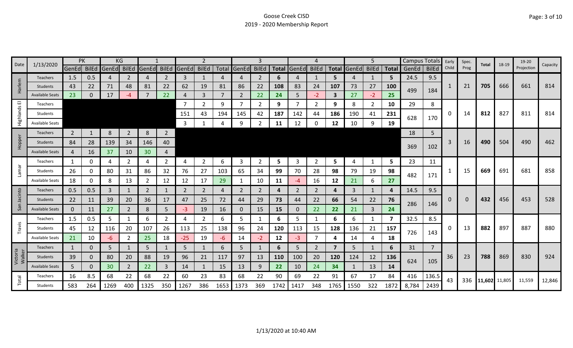| Date               | 1/13/2020              | PK             |              |                         | ΚG             |                |                |             |                |      |                | 3            |            |             | 4            |      |                   | 5            |              | <b>Campus Totals</b> |                | Early | Spec. | Total         | 18-19 | 19-20      | Capacity |
|--------------------|------------------------|----------------|--------------|-------------------------|----------------|----------------|----------------|-------------|----------------|------|----------------|--------------|------------|-------------|--------------|------|-------------------|--------------|--------------|----------------------|----------------|-------|-------|---------------|-------|------------|----------|
|                    |                        |                |              | GenEd BilEd GenEd BilEd |                | <b>GenEd</b>   |                | BilEd GenEd | <b>BilEd</b>   |      | Total GenEd    | <b>BilEd</b> |            | Total GenEd | <b>BilEd</b> |      | Total GenEd BilEd |              | <b>Total</b> | GenEd                | <b>BilEd</b>   | Child | Prog  |               |       | Projection |          |
|                    | <b>Teachers</b>        | 1.5            | 0.5          | 4                       | 2              | $\overline{4}$ | 2              | 3           | 1              | 4    | 4              | 2            | 6          |             | 1            | 5.   | 4                 | 1            | 5            | 24.5                 | 9.5            |       |       |               |       |            |          |
| larlem             | <b>Students</b>        | 43             | 22           | 71                      | 48             | 81             | 22             | 62          | 19             | 81   | 86             | 22           | 108        | 83          | 24           | 107  | 73                | 27           | 100          | 499                  | 184            | 1     | 21    | 705           | 666   | 661        | 814      |
| I                  | <b>Available Seats</b> | 23             | $\mathbf{0}$ | 17                      | -4             | 7              | 22             | 4           | 3              |      | $\overline{2}$ | 22           | 24         | 5           | $-2$         | 3    | 27                | $-2$         | 25           |                      |                |       |       |               |       |            |          |
| ш                  | Teachers               |                |              |                         |                |                |                |             | 2              | 9    | 7              | 2            | 9          |             | 2            | 9    | 8                 | 2            | 10           | 29                   | 8              |       |       |               |       |            |          |
| Highlands          | Students               |                |              |                         |                |                |                | 151         | 43             | 194  | 145            | 42           | 187        | 142         | 44           | 186  | 190               | 41           | 231          | 628                  | 170            | 0     | 14    | 812           | 827   | 811        | 814      |
|                    | <b>Available Seats</b> |                |              |                         |                |                |                | 3           |                |      | 9              |              | 11         | 12          | $\Omega$     | 12   | 10                | 9            | 19           |                      |                |       |       |               |       |            |          |
|                    | <b>Teachers</b>        | $\overline{2}$ |              | 8                       | $\overline{2}$ | 8              | $\overline{2}$ |             |                |      |                |              |            |             |              |      |                   |              |              | 18                   | 5              |       |       |               |       |            |          |
| Hopper             | Students               | 84             | 28           | 139                     | 34             | 146            | 40             |             |                |      |                |              |            |             |              |      |                   |              |              |                      |                | 3     | 16    | 490           | 504   | 490        | 462      |
|                    | <b>Available Seats</b> | $\overline{4}$ | 16           | 37                      | 10             | 30             | 4              |             |                |      |                |              |            |             |              |      |                   |              |              | 369                  | 102            |       |       |               |       |            |          |
|                    | Teachers               | 1              | 0            | 4                       | 2              | 4              | $\overline{2}$ | 4           | $\overline{2}$ | 6    | 3              | 2            | 5          | 3           | 2            | 5    | 4                 | 1            | 5            | 23                   | 11             |       |       |               |       |            |          |
| Lamar              | Students               | 26             | 0            | 80                      | 31             | 86             | 32             | 76          | 27             | 103  | 65             | 34           | 99         | 70          | 28           | 98   | 79                | 19           | 98           |                      |                |       | 15    | 669           | 691   | 681        | 858      |
|                    | Available Seats        | 18             | 0            | 8                       | 13             | 2              | 12             | 12          | 17             | 29   | 1              | 10           | 11         | -4          | 16           | 12   | 21                | 6            | 27           | 482                  | 171            |       |       |               |       |            |          |
| cinto              | Teachers               | 0.5            | 0.5          | 3                       | 1              | 2              | 1              | 2           | $\overline{2}$ | 4    | 2              | 2            | 4          | 2           | 2            | 4    | 3                 | 1            | 4            | 14.5                 | 9.5            |       |       |               |       |            |          |
|                    | Students               | 22             | 11           | 39                      | 20             | 36             | 17             | 47          | 25             | 72   | 44             | 29           | 73         | 44          | 22           | 66   | 54                | 22           | 76           |                      |                | 0     |       | 432           | 456   | 453        | 528      |
| San                | <b>Available Seats</b> | $\mathbf{0}$   | 11           | 27                      | $\overline{2}$ | 8              | 5              | -3          | 19             | 16   | $\mathbf 0$    | 15           | 15         | 0           | 22           | 22   | 21                | 3            | 24           | 286                  | 146            |       |       |               |       |            |          |
|                    | Teachers               | 1.5            | 0.5          | 5                       | 1              | 6              | $\overline{2}$ | 4           | $\overline{2}$ | 6    | 5              | 1            | 6          | 5.          | 1            | 6    | 6                 | 1            | 7            | 32.5                 | 8.5            |       |       |               |       |            |          |
| Travis             | Students               | 45             | 12           | 116                     | 20             | 107            | 26             | 113         | 25             | 138  | 96             | 24           | 120        | 113         | 15           | 128  | 136               | 21           | 157          | 726                  | 143            | 0     | 13    | 882           | 897   | 887        | 880      |
|                    | Available Seats        | 21             | 10           | -6                      | 2              | 25             | 18             | $-25$       | 19             | -6   | 14             | $-2$         | 12         | $-3$        | 7            | Δ    | 14                | 4            | 18           |                      |                |       |       |               |       |            |          |
|                    | Teachers               | $\mathbf{1}$   | 0            | 5                       | 1              | 5              | 1              | 5           | $\mathbf{1}$   | 6    | 5              |              | 6          | 5.          | 2            | 7    | 5                 | $\mathbf{1}$ | 6            | 31                   | $\overline{7}$ |       |       |               |       |            |          |
| Victoria<br>Walker | <b>Students</b>        | 39             | 0            | 80                      | 20             | 88             | 19             | 96          | 21             | 117  | 97             | 13           | <b>110</b> | 100         | 20           | 120  | 124               | 12           | 136          | 624                  | 105            | 36    | 23    | 788           | 869   | 830        | 924      |
|                    | <b>Available Seats</b> | 5              | 0            | 30                      | $\overline{2}$ | 22             | $\overline{3}$ | 14          | $\mathbf{1}$   | 15   | 13             | 9            | 22         | 10          | 24           | 34   |                   | 13           | 14           |                      |                |       |       |               |       |            |          |
|                    | Teachers               | 16             | 8.5          | 68                      | 22             | 68             | 22             | 60          | 23             | 83   | 68             | 22           | 90         | 69          | 22           | 91   | 67                | 17           | 84           | 416                  | 136.5          | 43    | 336   | 11,602 11,805 |       | 11,559     | 12,846   |
| Total              | Students               | 583            | 264          | 1269                    | 400            | 1325           | 350            | 1267        | 386            | 1653 | 1373           | 369          | 1742       | 1417        | 348          | 1765 | 1550              | 322          | 1872         | 8,784                | 2439           |       |       |               |       |            |          |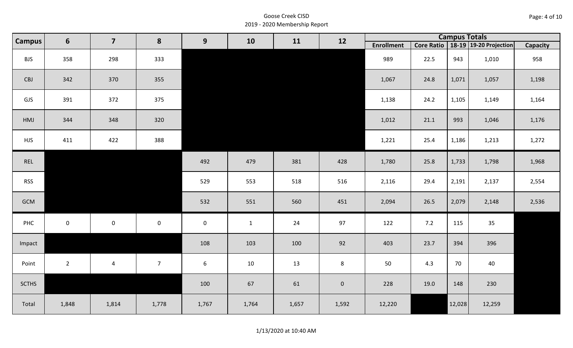| Page: 4 of 10 |  |  |  |
|---------------|--|--|--|
|---------------|--|--|--|

| <b>Campus</b> | $6\phantom{1}$ | $\overline{\mathbf{z}}$ | 8              | 9                   | 10           | 11    | 12                  |                   |      | <b>Campus Totals</b><br>Core Ratio   18-19   19-20 Projection<br>943 |        |                 |
|---------------|----------------|-------------------------|----------------|---------------------|--------------|-------|---------------------|-------------------|------|----------------------------------------------------------------------|--------|-----------------|
|               |                |                         |                |                     |              |       |                     | <b>Enrollment</b> |      |                                                                      |        | <b>Capacity</b> |
| <b>BJS</b>    | 358            | 298                     | 333            |                     |              |       |                     | 989               | 22.5 |                                                                      | 1,010  | 958             |
| CBJ           | 342            | 370                     | 355            |                     |              |       |                     | 1,067             | 24.8 | 1,071                                                                | 1,057  | 1,198           |
| GJS           | 391            | 372                     | 375            |                     |              |       |                     | 1,138             | 24.2 | 1,105                                                                | 1,149  | 1,164           |
| HMJ           | 344            | 348                     | 320            |                     |              |       |                     | 1,012             | 21.1 | 993                                                                  | 1,046  | 1,176           |
| <b>HJS</b>    | 411            | 422                     | 388            |                     |              |       |                     | 1,221             | 25.4 | 1,186                                                                | 1,213  | 1,272           |
| REL           |                |                         |                | 492                 | 479          | 381   | 428                 | 1,780             | 25.8 | 1,733                                                                | 1,798  | 1,968           |
| <b>RSS</b>    |                |                         |                | 529                 | 553          | 518   | 516                 | 2,116             | 29.4 | 2,191                                                                | 2,137  | 2,554           |
| GCM           |                |                         |                | 532                 | 551          | 560   | 451                 | 2,094             | 26.5 | 2,079                                                                | 2,148  | 2,536           |
| PHC           | $\mathbf 0$    | $\mathsf{O}\xspace$     | $\mathbf 0$    | $\mathsf{O}\xspace$ | $\mathbf{1}$ | 24    | 97                  | 122               | 7.2  | 115                                                                  | 35     |                 |
| Impact        |                |                         |                | 108                 | 103          | 100   | 92                  | 403               | 23.7 | 394                                                                  | 396    |                 |
| Point         | $2^{\circ}$    | $\overline{4}$          | $\overline{7}$ | 6                   | $10\,$       | 13    | 8                   | 50                | 4.3  | 70                                                                   | 40     |                 |
| <b>SCTHS</b>  |                |                         |                | 100                 | 67           | 61    | $\mathsf{O}\xspace$ | 228               | 19.0 | 148                                                                  | 230    |                 |
| Total         | 1,848          | 1,814                   | 1,778          | 1,767               | 1,764        | 1,657 | 1,592               | 12,220            |      | 12,028                                                               | 12,259 |                 |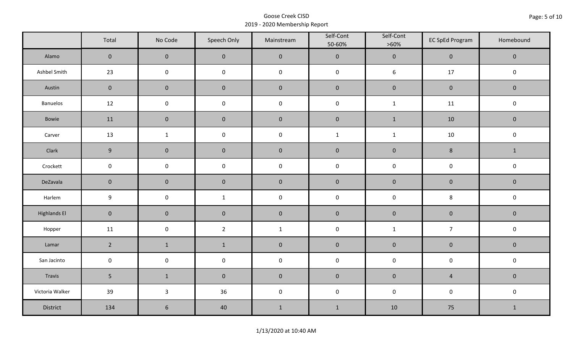|                     | Total               | No Code             | Speech Only    | Mainstream   | Self-Cont<br>50-60% | Self-Cont<br>$>60\%$ | <b>EC SpEd Program</b> | Homebound    |  |
|---------------------|---------------------|---------------------|----------------|--------------|---------------------|----------------------|------------------------|--------------|--|
| Alamo               | $\mathsf{O}\xspace$ | $\mathbf 0$         | $\mathbf 0$    | $\pmb{0}$    | $\pmb{0}$           | $\pmb{0}$            | $\pmb{0}$              | $\mathbf 0$  |  |
| Ashbel Smith        | 23                  | $\mathsf{O}\xspace$ | $\pmb{0}$      | $\pmb{0}$    | $\pmb{0}$           | $\boldsymbol{6}$     | $17$                   | $\pmb{0}$    |  |
| Austin              | $\mathbf 0$         | $\mathsf{O}\xspace$ | $\mathbf 0$    | $\pmb{0}$    | $\pmb{0}$           | $\pmb{0}$            | $\pmb{0}$              | $\mathbf 0$  |  |
| Banuelos            | 12                  | $\mathbf 0$         | $\pmb{0}$      | $\pmb{0}$    | $\mathsf 0$         | $\mathbf{1}$         | 11                     | $\pmb{0}$    |  |
| Bowie               | 11                  | $\mathbf 0$         | $\mathbf 0$    | $\pmb{0}$    | $\pmb{0}$           | $\mathbf 1$          | 10                     | $\mathbf 0$  |  |
| Carver              | 13                  | $\mathbf{1}$        | $\pmb{0}$      | $\pmb{0}$    | $\mathbf 1$         | $\mathbf{1}$         | $10\,$                 | $\pmb{0}$    |  |
| Clark               | 9                   | $\mathbf 0$         | $\mathbf 0$    | $\pmb{0}$    | $\pmb{0}$           | $\pmb{0}$            | $\bf 8$                | $\mathbf{1}$ |  |
| Crockett            | $\mathbf 0$         | $\pmb{0}$           | $\mathbf 0$    | $\pmb{0}$    | $\pmb{0}$           | $\pmb{0}$            | $\pmb{0}$              | $\pmb{0}$    |  |
| DeZavala            | $\mathbf 0$         | $\mathbf 0$         | $\mathbf 0$    | $\pmb{0}$    | $\pmb{0}$           | $\pmb{0}$            | $\pmb{0}$              | $\mathbf 0$  |  |
| Harlem              | $\boldsymbol{9}$    | $\mathsf{O}\xspace$ | $\mathbf{1}$   | $\pmb{0}$    | $\pmb{0}$           | $\pmb{0}$            | 8                      | $\pmb{0}$    |  |
| <b>Highlands El</b> | $\mathbf{0}$        | $\pmb{0}$           | $\pmb{0}$      | $\pmb{0}$    | $\pmb{0}$           | $\pmb{0}$            | $\pmb{0}$              | $\pmb{0}$    |  |
| Hopper              | 11                  | $\mathbf 0$         | $\overline{2}$ | $\mathbf{1}$ | $\pmb{0}$           | $\mathbf{1}$         | $\overline{7}$         | $\pmb{0}$    |  |
| Lamar               | $\overline{2}$      | $\mathbf{1}$        | $\mathbf{1}$   | $\pmb{0}$    | $\pmb{0}$           | $\pmb{0}$            | $\pmb{0}$              | $\mathbf 0$  |  |
| San Jacinto         | $\mathsf{O}\xspace$ | $\pmb{0}$           | $\pmb{0}$      | $\pmb{0}$    | $\pmb{0}$           | $\pmb{0}$            | $\pmb{0}$              | $\pmb{0}$    |  |
| Travis              | 5 <sub>1</sub>      | $\mathbf 1$         | $\mathbf 0$    | $\pmb{0}$    | $\pmb{0}$           | $\pmb{0}$            | $\sqrt{4}$             | $\pmb{0}$    |  |
| Victoria Walker     | 39                  | $\mathbf{3}$        | 36             | $\pmb{0}$    | $\pmb{0}$           | $\pmb{0}$            | $\pmb{0}$              | $\mathbf 0$  |  |
| District            | 134                 | $\sqrt{6}$          | 40             | $\mathbf{1}$ | $1\,$               | 10                   | 75                     | $\mathbf{1}$ |  |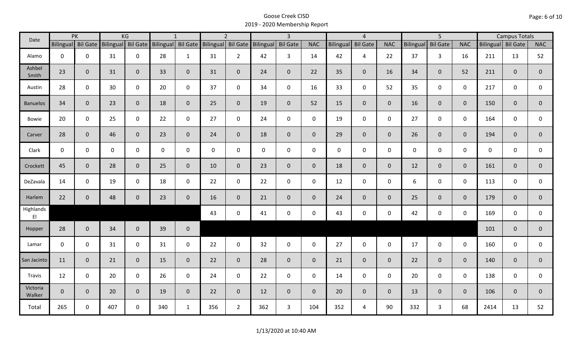| Date               |                    | PK           |              | KG             |                                       | $\mathbf{1}$   |              | $\overline{2}$     |             | $\overline{3}$  |                |                  | $\overline{4}$  |                | $\overline{5}$   |                 | <b>Campus Totals</b> |                    |              |                |
|--------------------|--------------------|--------------|--------------|----------------|---------------------------------------|----------------|--------------|--------------------|-------------|-----------------|----------------|------------------|-----------------|----------------|------------------|-----------------|----------------------|--------------------|--------------|----------------|
|                    | Bilingual Bil Gate |              |              |                | Bilingual Bil Gate Bilingual Bil Gate |                |              | Bilingual Bil Gate | Bilingual   | <b>Bil Gate</b> | <b>NAC</b>     | <b>Bilingual</b> | <b>Bil Gate</b> | <b>NAC</b>     | <b>Bilingual</b> | <b>Bil Gate</b> | <b>NAC</b>           | Bilingual Bil Gate |              | <b>NAC</b>     |
| Alamo              | $\mathbf{0}$       | $\mathbf 0$  | 31           | $\mathbf 0$    | 28                                    | $\mathbf{1}$   | 31           | $2^{\circ}$        | 42          | 3 <sup>1</sup>  | 14             | 42               | 4               | 22             | 37               | $\mathbf{3}$    | 16                   | 211                | 13           | 52             |
| Ashbel<br>Smith    | 23                 | $\mathbf{0}$ | 31           | $\overline{0}$ | 33                                    | $\mathbf 0$    | 31           | $\overline{0}$     | 24          | $\mathbf 0$     | 22             | 35               | $\overline{0}$  | 16             | 34               | $\mathbf{0}$    | 52                   | 211                | $\mathbf{0}$ | $\overline{0}$ |
| Austin             | 28                 | $\mathbf 0$  | 30           | $\mathbf 0$    | 20                                    | $\mathbf 0$    | 37           | $\mathbf 0$        | 34          | $\mathbf 0$     | 16             | 33               | $\mathbf 0$     | 52             | 35               | $\mathbf 0$     | $\mathbf 0$          | 217                | $\mathbf 0$  | $\mathbf 0$    |
| <b>Banuelos</b>    | 34                 | $\mathbf{0}$ | 23           | $\overline{0}$ | 18                                    | $\mathbf{0}$   | 25           | $\overline{0}$     | 19          | $\mathbf 0$     | 52             | 15               | $\overline{0}$  | $\mathbf{0}$   | 16               | $\overline{0}$  | $\overline{0}$       | 150                | $\mathbf{0}$ | $\overline{0}$ |
| <b>Bowie</b>       | 20                 | $\mathbf 0$  | 25           | $\mathsf 0$    | 22                                    | $\mathbf 0$    | 27           | $\mathbf 0$        | 24          | $\mathbf 0$     | $\mathbf 0$    | 19               | $\mathbf 0$     | $\mathbf 0$    | 27               | $\mathbf 0$     | $\mathbf 0$          | 164                | $\mathbf 0$  | 0              |
| Carver             | 28                 | $\mathbf{0}$ | 46           | $\overline{0}$ | 23                                    | $\mathbf 0$    | 24           | $\mathbf{0}$       | 18          | $\mathbf{0}$    | $\overline{0}$ | 29               | $\overline{0}$  | $\overline{0}$ | 26               | $\overline{0}$  | $\overline{0}$       | 194                | $\mathbf 0$  | $\mathbf 0$    |
| Clark              | $\mathbf 0$        | $\mathbf 0$  | $\mathsf{O}$ | $\mathbf 0$    | $\mathsf{O}$                          | $\mathbf 0$    | $\mathbf{0}$ | $\mathbf 0$        | $\mathbf 0$ | $\mathbf 0$     | $\mathbf 0$    | $\mathbf{0}$     | $\mathbf 0$     | $\mathbf 0$    | $\mathbf 0$      | $\mathbf 0$     | $\mathbf 0$          | $\mathbf 0$        | $\mathbf 0$  | $\mathbf 0$    |
| Crockett           | 45                 | $\mathbf 0$  | 28           | $\overline{0}$ | 25                                    | $\mathbf{0}$   | 10           | $\overline{0}$     | 23          | $\mathbf 0$     | $\mathbf{0}$   | 18               | $\overline{0}$  | $\overline{0}$ | 12               | $\mathbf{0}$    | $\overline{0}$       | 161                | $\mathbf{0}$ | $\mathbf 0$    |
| DeZavala           | 14                 | $\mathbf 0$  | 19           | $\mathsf 0$    | 18                                    | $\mathbf 0$    | 22           | $\mathbf{0}$       | 22          | $\mathbf 0$     | $\mathbf 0$    | 12               | $\mathbf 0$     | $\mathbf 0$    | 6                | $\mathbf 0$     | $\mathbf 0$          | 113                | $\mathbf 0$  | 0              |
| Harlem             | 22                 | $\mathbf 0$  | 48           | $\overline{0}$ | 23                                    | $\mathbf 0$    | 16           | $\overline{0}$     | 21          | $\mathbf 0$     | $\mathbf{0}$   | 24               | $\overline{0}$  | $\mathbf{0}$   | 25               | $\mathbf{0}$    | $\overline{0}$       | 179                | $\mathbf{0}$ | $\overline{0}$ |
| Highlands<br>EI    |                    |              |              |                |                                       |                | 43           | $\mathbf 0$        | 41          | $\mathsf 0$     | $\mathsf 0$    | 43               | $\mathbf 0$     | $\mathbf 0$    | 42               | $\mathbf 0$     | $\mathbf 0$          | 169                | 0            | $\mathbf{0}$   |
| Hopper             | 28                 | $\mathbf{0}$ | 34           | $\overline{0}$ | 39                                    | $\mathbf 0$    |              |                    |             |                 |                |                  |                 |                |                  |                 |                      | 101                | $\mathbf{0}$ | $\overline{0}$ |
| Lamar              | $\mathbf 0$        | $\mathbf 0$  | 31           | $\mathbf 0$    | 31                                    | $\mathbf 0$    | 22           | $\mathbf 0$        | 32          | $\mathsf{O}$    | $\mathbf 0$    | 27               | $\mathbf 0$     | $\mathbf 0$    | 17               | $\mathbf 0$     | $\mathbf 0$          | 160                | $\mathbf 0$  | 0              |
| San Jacinto        | 11                 | $\mathbf{0}$ | 21           | $\overline{0}$ | 15                                    | $\overline{0}$ | 22           | $\overline{0}$     | 28          | $\mathbf{0}$    | $\overline{0}$ | 21               | $\overline{0}$  | $\mathbf{0}$   | 22               | $\mathbf{0}$    | $\overline{0}$       | 140                | $\mathbf 0$  | $\mathbf{0}$   |
| Travis             | 12                 | $\mathbf 0$  | 20           | $\mathbf 0$    | 26                                    | $\mathbf 0$    | 24           | $\mathbf{0}$       | 22          | $\mathbf 0$     | $\mathbf 0$    | 14               | $\mathbf 0$     | $\mathbf 0$    | 20               | $\mathbf 0$     | $\mathbf 0$          | 138                | $\mathbf 0$  | 0              |
| Victoria<br>Walker | $\mathbf{0}$       | $\mathbf{0}$ | 20           | $\overline{0}$ | 19                                    | $\mathbf{0}$   | 22           | $\overline{0}$     | 12          | $\overline{0}$  | $\mathbf{0}$   | 20               | $\overline{0}$  | $\overline{0}$ | 13               | $\overline{0}$  | $\overline{0}$       | 106                | $\mathbf{0}$ | $\mathbf{0}$   |
| Total              | 265                | $\mathbf 0$  | 407          | $\mathbf 0$    | 340                                   | 1              | 356          | $2^{\circ}$        | 362         | $\mathbf{3}$    | 104            | 352              | $\overline{4}$  | 90             | 332              | $\mathbf{3}$    | 68                   | 2414               | 13           | 52             |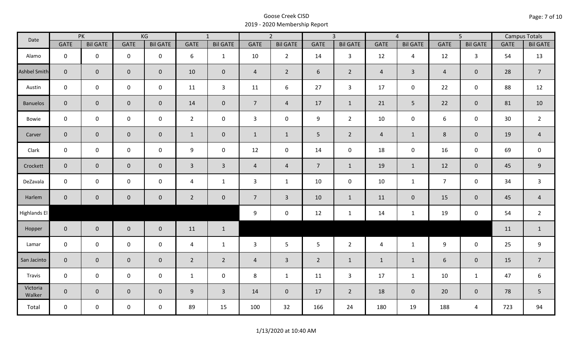| Date                |                | PK              |                     | KG              |                | $\overline{1}$   |                | $\overline{2}$      |                | $\overline{3}$  |                | $\overline{4}$  |                | $\overline{5}$  |             | <b>Campus Totals</b> |
|---------------------|----------------|-----------------|---------------------|-----------------|----------------|------------------|----------------|---------------------|----------------|-----------------|----------------|-----------------|----------------|-----------------|-------------|----------------------|
|                     | <b>GATE</b>    | <b>Bil GATE</b> | <b>GATE</b>         | <b>Bil GATE</b> | <b>GATE</b>    | <b>Bil GATE</b>  | <b>GATE</b>    | <b>Bil GATE</b>     | <b>GATE</b>    | <b>Bil GATE</b> | <b>GATE</b>    | <b>Bil GATE</b> | <b>GATE</b>    | <b>Bil GATE</b> | <b>GATE</b> | <b>Bil GATE</b>      |
| Alamo               | $\mathbf{0}$   | $\mathbf 0$     | $\pmb{0}$           | $\mathbf 0$     | 6              | $\mathbf{1}$     | 10             | $\overline{2}$      | 14             | $\mathbf{3}$    | 12             | $\overline{4}$  | 12             | $\mathbf{3}$    | 54          | 13                   |
| <b>Ashbel Smith</b> | $\mathbf{0}$   | $\mathbf 0$     | $\mathbf 0$         | $\overline{0}$  | 10             | $\mathbf 0$      | $\overline{4}$ | $\overline{2}$      | 6              | $2^{\circ}$     | $\overline{4}$ | $\overline{3}$  | $\overline{4}$ | $\mathbf{0}$    | 28          | $\overline{7}$       |
| Austin              | $\mathbf 0$    | $\mathbf 0$     | $\mathbf 0$         | $\mathbf 0$     | 11             | $\overline{3}$   | 11             | 6                   | 27             | $\mathbf{3}$    | 17             | 0               | 22             | $\mathbf 0$     | 88          | 12                   |
| <b>Banuelos</b>     | $\overline{0}$ | $\overline{0}$  | $\mathbf 0$         | $\overline{0}$  | 14             | $\overline{0}$   | $\overline{7}$ | $\overline{4}$      | 17             | $\mathbf{1}$    | 21             | 5               | 22             | $\overline{0}$  | 81          | 10                   |
| Bowie               | $\mathbf 0$    | $\mathbf 0$     | $\mathsf 0$         | $\mathbf 0$     | $2^{\circ}$    | $\mathbf 0$      | $\mathbf{3}$   | $\mathbf 0$         | 9              | $2^{\circ}$     | 10             | 0               | 6              | $\mathbf 0$     | 30          | $\overline{2}$       |
| Carver              | $\overline{0}$ | $\mathbf 0$     | $\pmb{0}$           | $\mathbf 0$     | $\mathbf{1}$   | $\mathbf 0$      | $\mathbf{1}$   | $\mathbf{1}$        | 5 <sub>1</sub> | $\overline{2}$  | $\overline{4}$ | $\mathbf{1}$    | $8\phantom{1}$ | $\mathbf 0$     | 19          | $\overline{4}$       |
| Clark               | $\mathbf 0$    | $\mathbf 0$     | $\mathsf{O}\xspace$ | 0               | 9              | $\boldsymbol{0}$ | 12             | $\mathsf{O}\xspace$ | 14             | $\mathbf 0$     | 18             | 0               | 16             | $\mathbf 0$     | 69          | $\mathbf 0$          |
| Crockett            | $\overline{0}$ | $\mathbf 0$     | $\mathbf 0$         | $\mathbf{0}$    | $\mathbf{3}$   | $\overline{3}$   | $\overline{4}$ | $\overline{4}$      | 7 <sup>7</sup> | $\mathbf{1}$    | 19             | $\mathbf{1}$    | 12             | $\mathbf 0$     | 45          | $9\,$                |
| DeZavala            | $\mathbf 0$    | $\mathbf 0$     | $\mathsf{O}\xspace$ | $\mathbf 0$     | 4              | $\mathbf{1}$     | $\mathbf{3}$   | $\mathbf{1}$        | 10             | $\mathbf 0$     | 10             | $\mathbf{1}$    | $\overline{7}$ | $\mathbf 0$     | 34          | $\mathsf{3}$         |
| Harlem              | $\overline{0}$ | $\overline{0}$  | $\pmb{0}$           | $\mathbf 0$     | $\overline{2}$ | $\mathbf 0$      | $\overline{7}$ | $\overline{3}$      | 10             | $\mathbf{1}$    | 11             | $\overline{0}$  | 15             | $\pmb{0}$       | 45          | $\overline{4}$       |
| Highlands El        |                |                 |                     |                 |                |                  | 9              | $\mathbf 0$         | 12             | $\mathbf{1}$    | 14             | $\mathbf{1}$    | 19             | $\mathbf 0$     | 54          | $\overline{2}$       |
| Hopper              | $\mathbf 0$    | $\overline{0}$  | $\mathbf 0$         | $\overline{0}$  | 11             | $\mathbf{1}$     |                |                     |                |                 |                |                 |                |                 | 11          | $\mathbf{1}$         |
| Lamar               | $\mathbf 0$    | $\mathbf 0$     | $\mathsf{O}\xspace$ | $\mathbf 0$     | $\overline{4}$ | $\mathbf{1}$     | $\mathbf{3}$   | 5                   | 5 <sub>5</sub> | $2^{\circ}$     | $\overline{4}$ | $\mathbf{1}$    | 9              | $\mathbf 0$     | 25          | 9                    |
| San Jacinto         | $\mathbf{0}$   | $\overline{0}$  | $\mathbf 0$         | $\overline{0}$  | $\overline{2}$ | $\overline{2}$   | $\overline{4}$ | $\overline{3}$      | $\overline{2}$ | $\mathbf{1}$    | $\mathbf{1}$   | $\mathbf{1}$    | 6              | $\mathbf 0$     | 15          | $\overline{7}$       |
| Travis              | $\mathbf 0$    | $\mathbf 0$     | $\mathsf 0$         | $\mathbf 0$     | $\mathbf{1}$   | $\mathbf 0$      | 8              | $\mathbf{1}$        | 11             | $\mathbf{3}$    | 17             | $\mathbf{1}$    | 10             | $\mathbf{1}$    | 47          | $\boldsymbol{6}$     |
| Victoria<br>Walker  | $\overline{0}$ | $\overline{0}$  | $\mathbf 0$         | $\mathbf{0}$    | $9\,$          | $\overline{3}$   | 14             | $\mathbf{0}$        | 17             | $2^{\circ}$     | 18             | $\mathbf{0}$    | 20             | $\mathbf{0}$    | 78          | 5                    |
| Total               | $\mathbf 0$    | $\mathsf{O}$    | $\mathbf 0$         | $\mathbf 0$     | 89             | 15               | 100            | 32                  | 166            | 24              | 180            | 19              | 188            | $\overline{4}$  | 723         | 94                   |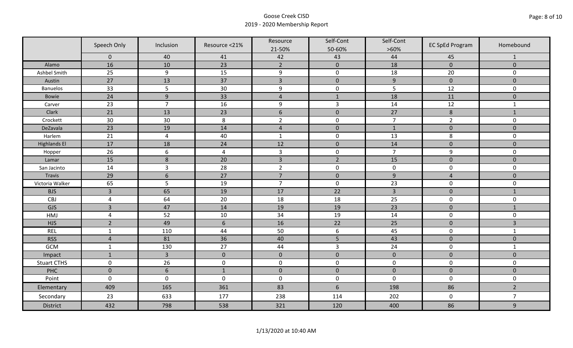|                     | Speech Only    | Inclusion        | Resource <21%  | Resource<br>21-50% | Self-Cont<br>50-60% | Self-Cont<br>$>60\%$ | <b>EC SpEd Program</b> | Homebound      |
|---------------------|----------------|------------------|----------------|--------------------|---------------------|----------------------|------------------------|----------------|
|                     | $\mathbf 0$    | 40               | 41             | 42                 | 43                  | 44                   | 45                     | 1              |
| Alamo               | 16             | 10               | 23             | $\overline{2}$     | $\pmb{0}$           | 18                   | $\mathbf{0}$           | $\mathbf{0}$   |
| Ashbel Smith        | 25             | $\boldsymbol{9}$ | 15             | 9                  | $\mathbf 0$         | 18                   | 20                     | $\mathbf 0$    |
| Austin              | 27             | 13               | 37             | $\overline{3}$     | $\mathbf 0$         | 9                    | $\mathbf{0}$           | $\mathbf 0$    |
| <b>Banuelos</b>     | 33             | 5                | 30             | $\boldsymbol{9}$   | $\pmb{0}$           | 5                    | 12                     | $\mathbf 0$    |
| Bowie               | 24             | $\boldsymbol{9}$ | 33             | $\overline{4}$     | $\mathbf{1}$        | 18                   | 11                     | $\mathbf{0}$   |
| Carver              | 23             | $\overline{7}$   | 16             | 9                  | 3                   | 14                   | 12                     | $\mathbf{1}$   |
| Clark               | 21             | 13               | 23             | $6\,$              | $\mathbf 0$         | 27                   | $\bf 8$                | $\mathbf{1}$   |
| Crockett            | 30             | 30               | 8              | $\overline{2}$     | $\mathbf 0$         | $\overline{7}$       | $\overline{2}$         | $\mathbf 0$    |
| DeZavala            | 23             | 19               | 14             | $\overline{4}$     | $\mathbf 0$         | $\mathbf{1}$         | $\mathbf 0$            | $\mathbf{0}$   |
| Harlem              | 21             | $\pmb{4}$        | 40             | $\mathbf 1$        | $\mathsf 0$         | 13                   | 8                      | $\mathsf 0$    |
| <b>Highlands El</b> | 17             | 18               | 24             | 12                 | $\mathbf 0$         | 14                   | $\mathbf 0$            | $\mathbf{0}$   |
| Hopper              | 26             | $\boldsymbol{6}$ | $\overline{4}$ | $\overline{3}$     | $\mathsf{O}\xspace$ | $\overline{7}$       | 9                      | $\mathbf 0$    |
| Lamar               | 15             | $\,8$            | 20             | $\overline{3}$     | $\overline{2}$      | 15                   | $\mathbf{0}$           | $\mathbf{0}$   |
| San Jacinto         | 14             | 3                | 28             | $\overline{2}$     | 0                   | $\mathbf 0$          | $\mathbf 0$            | $\mathbf 0$    |
| Travis              | 29             | $\sqrt{6}$       | 27             | $\overline{7}$     | $\mathbf 0$         | 9                    | $\overline{4}$         | $\pmb{0}$      |
| Victoria Walker     | 65             | 5                | 19             | $\overline{7}$     | $\mathbf 0$         | 23                   | $\mathbf 0$            | $\mathbf 0$    |
| <b>BJS</b>          | $\overline{3}$ | 65               | 19             | 17                 | 22                  | $\overline{3}$       | $\mathbf 0$            | $\mathbf{1}$   |
| CBJ                 | $\sqrt{4}$     | 64               | 20             | 18                 | 18                  | 25                   | $\mathsf 0$            | $\mathbf 0$    |
| GJS                 | $\overline{3}$ | 47               | 14             | 19                 | 19                  | 23                   | $\mathbf{0}$           | $\mathbf{1}$   |
| HMJ                 | $\overline{4}$ | 52               | $10\,$         | 34                 | 19                  | 14                   | $\mathsf{O}\xspace$    | $\mathbf 0$    |
| <b>HJS</b>          | $\overline{2}$ | 49               | $6\,$          | 16                 | 22                  | 25                   | $\mathbf{0}$           | $\overline{3}$ |
| <b>REL</b>          | $\mathbf{1}$   | 110              | 44             | 50                 | 6                   | 45                   | $\mathbf 0$            | $\mathbf{1}$   |
| <b>RSS</b>          | $\overline{4}$ | 81               | 36             | 40                 | 5                   | 43                   | $\mathbf 0$            | $\mathbf{0}$   |
| GCM                 | $\mathbf{1}$   | 130              | 27             | 44                 | $\overline{3}$      | 24                   | $\mathbf 0$            | $\mathbf 1$    |
| Impact              | $\mathbf{1}$   | $\overline{3}$   | $\pmb{0}$      | $\mathbf 0$        | $\pmb{0}$           | $\mathbf{0}$         | $\mathbf{0}$           | $\mathbf{0}$   |
| <b>Stuart CTHS</b>  | $\pmb{0}$      | 26               | $\pmb{0}$      | $\mathbf 0$        | $\mathbf 0$         | $\mathbf 0$          | $\mathbf 0$            | $\mathbf 0$    |
| PHC                 | $\mathbf 0$    | $6\phantom{1}$   | $\mathbf{1}$   | $\mathbf 0$        | $\mathbf 0$         | $\mathbf{0}$         | $\mathbf{0}$           | $\mathbf 0$    |
| Point               | $\pmb{0}$      | $\mathbf 0$      | $\mathbf 0$    | $\pmb{0}$          | $\mathsf{O}\xspace$ | $\mathsf{O}\xspace$  | $\mathsf{O}\xspace$    | $\mathbf 0$    |
| Elementary          | 409            | 165              | 361            | 83                 | $6\,$               | 198                  | 86                     | $\overline{2}$ |
| Secondary           | 23             | 633              | 177            | 238                | 114                 | 202                  | $\mathbf 0$            | $\overline{7}$ |
| <b>District</b>     | 432            | 798              | 538            | 321                | 120                 | 400                  | 86                     | 9              |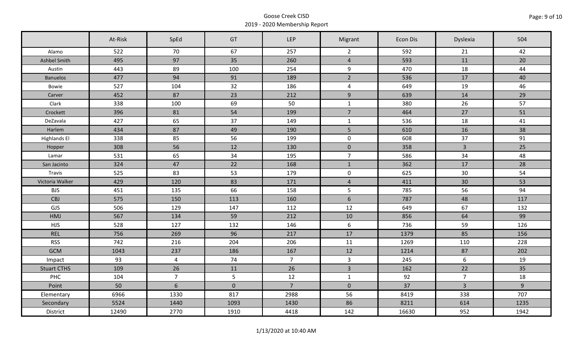|                     | At-Risk | SpEd           | GT          | <b>LEP</b>     | Migrant             | Econ Dis | Dyslexia         | 504   |
|---------------------|---------|----------------|-------------|----------------|---------------------|----------|------------------|-------|
| Alamo               | 522     | 70             | 67          | 257            | $\overline{2}$      | 592      | 21               | 42    |
| Ashbel Smith        | 495     | 97             | 35          | 260            | $\overline{4}$      | 593      | 11               | 20    |
| Austin              | 443     | 89             | 100         | 254            | 9                   | 470      | 18               | 44    |
| <b>Banuelos</b>     | 477     | 94             | 91          | 189            | $\overline{2}$      | 536      | 17               | 40    |
| Bowie               | 527     | 104            | 32          | 186            | $\overline{4}$      | 649      | 19               | 46    |
| Carver              | 452     | 87             | 23          | 212            | 9                   | 639      | 14               | 29    |
| Clark               | 338     | 100            | 69          | 50             | $\mathbf{1}$        | 380      | 26               | 57    |
| Crockett            | 396     | 81             | 54          | 199            | $\overline{7}$      | 464      | 27               | 51    |
| DeZavala            | 427     | 65             | 37          | 149            | $\mathbf{1}$        | 536      | 18               | 41    |
| Harlem              | 434     | 87             | 49          | 190            | 5 <sub>1</sub>      | 610      | 16               | 38    |
| <b>Highlands El</b> | 338     | 85             | 56          | 199            | $\mathbf 0$         | 608      | 37               | 91    |
| Hopper              | 308     | 56             | 12          | 130            | $\mathbf 0$         | 358      | $\mathbf{3}$     | 25    |
| Lamar               | 531     | 65             | 34          | 195            | $\overline{7}$      | 586      | 34               | 48    |
| San Jacinto         | 324     | 47             | 22          | 168            | $\mathbf{1}$        | 362      | 17               | 28    |
| Travis              | 525     | 83             | 53          | 179            | $\mathsf{O}\xspace$ | 625      | 30               | 54    |
| Victoria Walker     | 429     | 120            | 83          | 171            | $\overline{4}$      | 411      | 30               | 53    |
| <b>BJS</b>          | 451     | 135            | 66          | 158            | $5\phantom{.}$      | 785      | 56               | 94    |
| CBJ                 | 575     | 150            | 113         | 160            | $6\phantom{a}$      | 787      | 48               | 117   |
| GJS                 | 506     | 129            | 147         | 112            | 12                  | 649      | 67               | 132   |
| HMJ                 | 567     | 134            | 59          | 212            | 10                  | 856      | 64               | 99    |
| <b>HJS</b>          | 528     | 127            | 132         | 146            | 6                   | 736      | 59               | 126   |
| <b>REL</b>          | 756     | 269            | 96          | 217            | 17                  | 1379     | 85               | 156   |
| <b>RSS</b>          | 742     | 216            | 204         | 206            | 11                  | 1269     | 110              | 228   |
| <b>GCM</b>          | 1043    | 237            | 186         | 167            | 12                  | 1214     | 87               | 202   |
| Impact              | 93      | $\overline{a}$ | 74          | 7 <sup>7</sup> | $\mathbf{3}$        | 245      | $\boldsymbol{6}$ | 19    |
| <b>Stuart CTHS</b>  | 109     | 26             | 11          | 26             | $\overline{3}$      | 162      | 22               | 35    |
| PHC                 | 104     | $\overline{7}$ | 5           | 12             | $\mathbf{1}$        | 92       | $\overline{7}$   | 18    |
| Point               | 50      | 6              | $\mathbf 0$ | $\overline{7}$ | $\mathbf 0$         | 37       | $\mathbf{3}$     | $9\,$ |
| Elementary          | 6966    | 1330           | 817         | 2988           | 56                  | 8419     | 338              | 707   |
| Secondary           | 5524    | 1440           | 1093        | 1430           | 86                  | 8211     | 614              | 1235  |
| District            | 12490   | 2770           | 1910        | 4418           | 142                 | 16630    | 952              | 1942  |